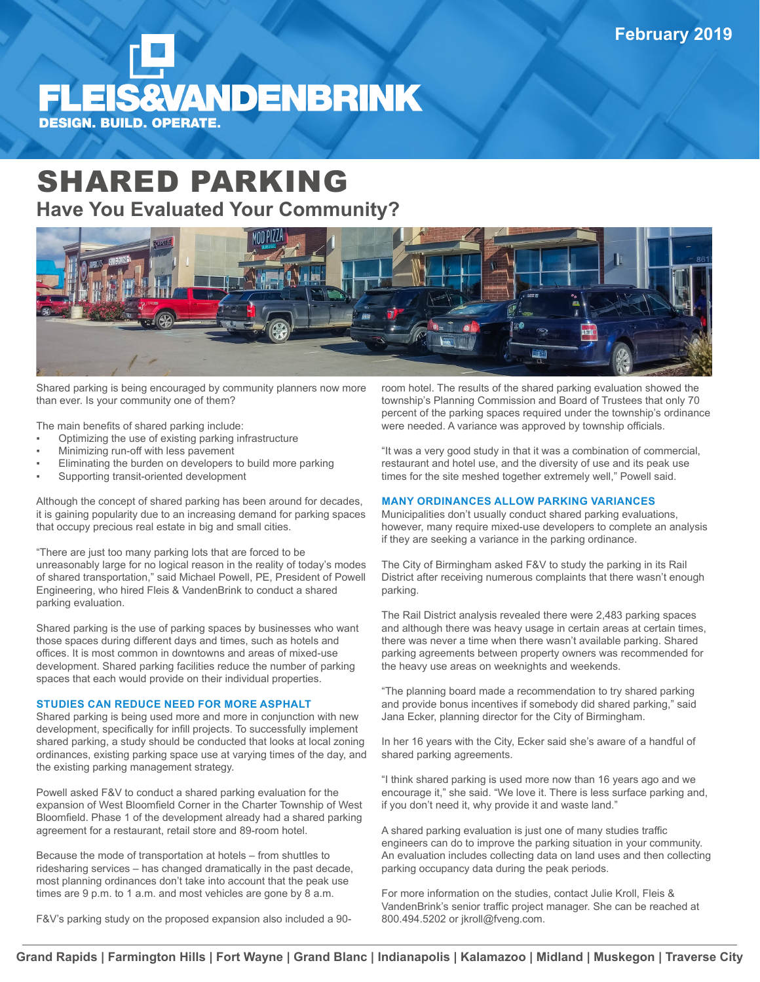# **FLEIS&VANDENBRINK DESIGN. BUILD. OPERATE.**

## SHARED PARKING **Have You Evaluated Your Community?**



Shared parking is being encouraged by community planners now more than ever. Is your community one of them?

The main benefits of shared parking include:

- Optimizing the use of existing parking infrastructure
- Minimizing run-off with less pavement
- Eliminating the burden on developers to build more parking
- Supporting transit-oriented development

Although the concept of shared parking has been around for decades, it is gaining popularity due to an increasing demand for parking spaces that occupy precious real estate in big and small cities.

"There are just too many parking lots that are forced to be unreasonably large for no logical reason in the reality of today's modes of shared transportation," said Michael Powell, PE, President of Powell Engineering, who hired Fleis & VandenBrink to conduct a shared parking evaluation.

Shared parking is the use of parking spaces by businesses who want those spaces during different days and times, such as hotels and offices. It is most common in downtowns and areas of mixed-use development. Shared parking facilities reduce the number of parking spaces that each would provide on their individual properties.

### **STUDIES CAN REDUCE NEED FOR MORE ASPHALT**

Shared parking is being used more and more in conjunction with new development, specifically for infill projects. To successfully implement shared parking, a study should be conducted that looks at local zoning ordinances, existing parking space use at varying times of the day, and the existing parking management strategy.

Powell asked F&V to conduct a shared parking evaluation for the expansion of West Bloomfield Corner in the Charter Township of West Bloomfield. Phase 1 of the development already had a shared parking agreement for a restaurant, retail store and 89-room hotel.

Because the mode of transportation at hotels – from shuttles to ridesharing services – has changed dramatically in the past decade, most planning ordinances don't take into account that the peak use times are 9 p.m. to 1 a.m. and most vehicles are gone by 8 a.m.

F&V's parking study on the proposed expansion also included a 90-

room hotel. The results of the shared parking evaluation showed the township's Planning Commission and Board of Trustees that only 70 percent of the parking spaces required under the township's ordinance were needed. A variance was approved by township officials.

"It was a very good study in that it was a combination of commercial, restaurant and hotel use, and the diversity of use and its peak use times for the site meshed together extremely well," Powell said.

### **MANY ORDINANCES ALLOW PARKING VARIANCES**

Municipalities don't usually conduct shared parking evaluations, however, many require mixed-use developers to complete an analysis if they are seeking a variance in the parking ordinance.

The City of Birmingham asked F&V to study the parking in its Rail District after receiving numerous complaints that there wasn't enough parking.

The Rail District analysis revealed there were 2,483 parking spaces and although there was heavy usage in certain areas at certain times, there was never a time when there wasn't available parking. Shared parking agreements between property owners was recommended for the heavy use areas on weeknights and weekends.

"The planning board made a recommendation to try shared parking and provide bonus incentives if somebody did shared parking," said Jana Ecker, planning director for the City of Birmingham.

In her 16 years with the City, Ecker said she's aware of a handful of shared parking agreements.

"I think shared parking is used more now than 16 years ago and we encourage it," she said. "We love it. There is less surface parking and, if you don't need it, why provide it and waste land."

A shared parking evaluation is just one of many studies traffic engineers can do to improve the parking situation in your community. An evaluation includes collecting data on land uses and then collecting parking occupancy data during the peak periods.

For more information on the studies, contact Julie Kroll, Fleis & VandenBrink's senior traffic project manager. She can be reached at 800.494.5202 or jkroll@fveng.com.